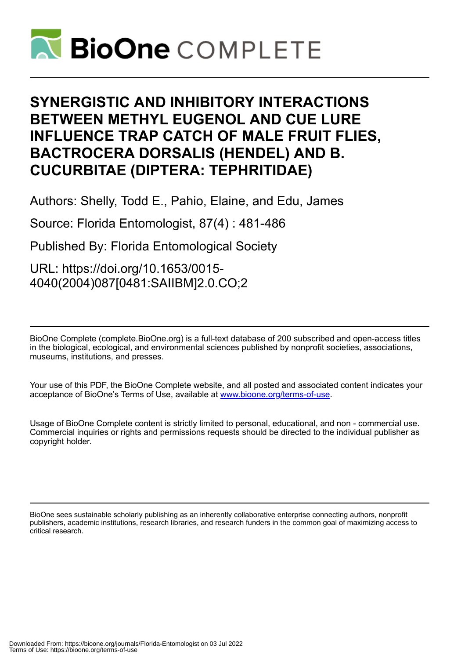

# **SYNERGISTIC AND INHIBITORY INTERACTIONS BETWEEN METHYL EUGENOL AND CUE LURE INFLUENCE TRAP CATCH OF MALE FRUIT FLIES, BACTROCERA DORSALIS (HENDEL) AND B. CUCURBITAE (DIPTERA: TEPHRITIDAE)**

Authors: Shelly, Todd E., Pahio, Elaine, and Edu, James

Source: Florida Entomologist, 87(4) : 481-486

Published By: Florida Entomological Society

URL: https://doi.org/10.1653/0015- 4040(2004)087[0481:SAIIBM]2.0.CO;2

BioOne Complete (complete.BioOne.org) is a full-text database of 200 subscribed and open-access titles in the biological, ecological, and environmental sciences published by nonprofit societies, associations, museums, institutions, and presses.

Your use of this PDF, the BioOne Complete website, and all posted and associated content indicates your acceptance of BioOne's Terms of Use, available at www.bioone.org/terms-of-use.

Usage of BioOne Complete content is strictly limited to personal, educational, and non - commercial use. Commercial inquiries or rights and permissions requests should be directed to the individual publisher as copyright holder.

BioOne sees sustainable scholarly publishing as an inherently collaborative enterprise connecting authors, nonprofit publishers, academic institutions, research libraries, and research funders in the common goal of maximizing access to critical research.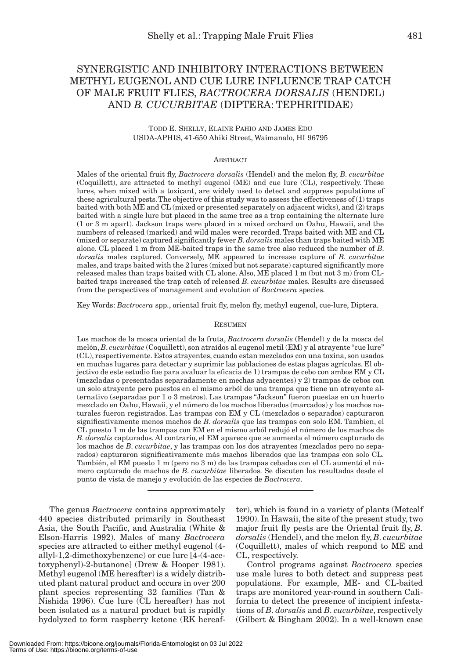# SYNERGISTIC AND INHIBITORY INTERACTIONS BETWEEN METHYL EUGENOL AND CUE LURE INFLUENCE TRAP CATCH OF MALE FRUIT FLIES, *BACTROCERA DORSALIS* (HENDEL) AND *B. CUCURBITAE* (DIPTERA: TEPHRITIDAE)

## TODD E. SHELLY, ELAINE PAHIO AND JAMES EDU USDA-APHIS, 41-650 Ahiki Street, Waimanalo, HI 96795

#### **ABSTRACT**

Males of the oriental fruit fly, *Bactrocera dorsalis* (Hendel) and the melon fly, *B*. *cucurbitae* (Coquillett), are attracted to methyl eugenol (ME) and cue lure (CL), respectively. These lures, when mixed with a toxicant, are widely used to detect and suppress populations of these agricultural pests. The objective of this study was to assess the effectiveness of (1) traps baited with both ME and CL (mixed or presented separately on adjacent wicks), and (2) traps baited with a single lure but placed in the same tree as a trap containing the alternate lure (1 or 3 m apart). Jackson traps were placed in a mixed orchard on Oahu, Hawaii, and the numbers of released (marked) and wild males were recorded. Traps baited with ME and CL (mixed or separate) captured significantly fewer *B*. *dorsalis* males than traps baited with ME alone. CL placed 1 m from ME-baited traps in the same tree also reduced the number of *B*. *dorsalis* males captured. Conversely, ME appeared to increase capture of *B*. *cucurbitae* males, and traps baited with the 2 lures (mixed but not separate) captured significantly more released males than traps baited with CL alone. Also, ME placed 1 m (but not 3 m) from CLbaited traps increased the trap catch of released *B*. *cucurbitae* males. Results are discussed from the perspectives of management and evolution of *Bactrocera* species.

Key Words: *Bactrocera* spp., oriental fruit fly, melon fly, methyl eugenol, cue-lure, Diptera.

#### RESUMEN

Los machos de la mosca oriental de la fruta, *Bactrocera dorsalis* (Hendel) y de la mosca del melón, *B*. *cucurbitae* (Coquillett), son atraídos al eugenol metil (EM) y al atrayente "cue lure" (CL), respectivemente. Estos atrayentes, cuando estan mezclados con una toxina, son usados en muchas lugares para detectar y suprimir las poblaciones de estas plagas agrícolas. El objectivo de este estudio fue para avaluar la eficacia de 1) trampas de cebo con ambos EM y CL (mezcladas o presentadas separadamente en mechas adyacentes) y 2) trampas de cebos con un solo atrayente pero puestos en el mismo arból de una trampa que tiene un atrayente alternativo (separadas por 1 o 3 metros). Las trampas "Jackson" fueron puestas en un huerto mezclado en Oahu, Hawaii, y el número de los machos liberados (marcados) y los machos naturales fueron registrados. Las trampas con EM y CL (mezclados o separados) capturaron significativamente menos machos de *B*. *dorsalis* que las trampas con solo EM. Tambien, el CL puesto 1 m de las trampas con EM en el mismo arból redujó el número de los machos de *B*. *dorsalis* capturados. Al contrario, el EM aparece que se aumenta el número capturado de los machos de *B*. *cucurbitae*, y las trampas con los dos atrayentes (mezclados pero no separados) capturaron significativamente más machos liberados que las trampas con solo CL. También, el EM puesto 1 m (pero no 3 m) de las trampas cebadas con el CL aumentó el número capturado de machos de *B*. *cucurbitae* liberados. Se discuten los resultados desde el punto de vista de manejo y evolución de las especies de *Bactrocera*.

The genus *Bactrocera* contains approximately 440 species distributed primarily in Southeast Asia, the South Pacific, and Australia (White & Elson-Harris 1992). Males of many *Bactrocera* species are attracted to either methyl eugenol (4 allyl-1,2-dimethoxybenzene) or cue lure [4-(4-acetoxyphenyl)-2-butanone] (Drew & Hooper 1981). Methyl eugenol (ME hereafter) is a widely distributed plant natural product and occurs in over 200 plant species representing 32 families (Tan & Nishida 1996). Cue lure (CL hereafter) has not been isolated as a natural product but is rapidly hydolyzed to form raspberry ketone (RK hereaf-

ter), which is found in a variety of plants (Metcalf 1990). In Hawaii, the site of the present study, two major fruit fly pests are the Oriental fruit fly, *B*. *dorsalis* (Hendel), and the melon fly, *B*. *cucurbitae* (Coquillett), males of which respond to ME and CL, respectively.

Control programs against *Bactrocera* species use male lures to both detect and suppress pest populations. For example, ME- and CL-baited traps are monitored year-round in southern California to detect the presence of incipient infestations of *B*. *dorsalis* and *B*. *cucurbitae*, respectively (Gilbert & Bingham 2002). In a well-known case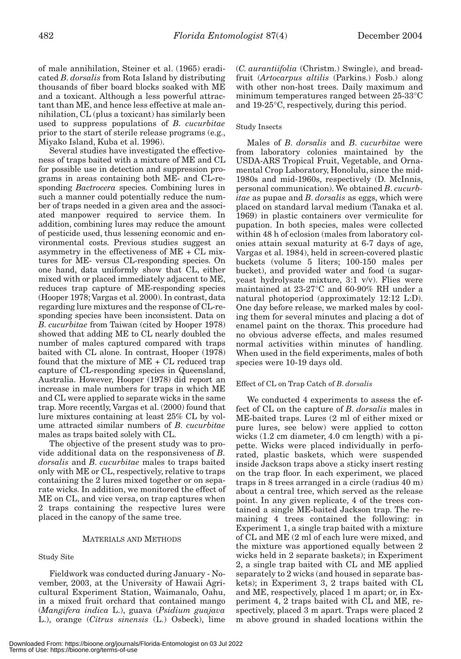of male annihilation, Steiner et al. (1965) eradicated *B*. *dorsalis* from Rota Island by distributing thousands of fiber board blocks soaked with ME and a toxicant. Although a less powerful attractant than ME, and hence less effective at male annihilation, CL (plus a toxicant) has similarly been used to suppress populations of *B*. *cucurbitae* prior to the start of sterile release programs (e.g., Miyako Island, Kuba et al. 1996).

Several studies have investigated the effectiveness of traps baited with a mixture of ME and CL for possible use in detection and suppression programs in areas containing both ME- and CL-responding *Bactrocera* species. Combining lures in such a manner could potentially reduce the number of traps needed in a given area and the associated manpower required to service them. In addition, combining lures may reduce the amount of pesticide used, thus lessening economic and environmental costs. Previous studies suggest an asymmetry in the effectiveness of ME + CL mixtures for ME- versus CL-responding species. On one hand, data uniformly show that CL, either mixed with or placed immediately adjacent to ME, reduces trap capture of ME-responding species (Hooper 1978; Vargas et al. 2000). In contrast, data regarding lure mixtures and the response of CL-responding species have been inconsistent. Data on *B*. *cucurbitae* from Taiwan (cited by Hooper 1978) showed that adding ME to CL nearly doubled the number of males captured compared with traps baited with CL alone. In contrast, Hooper (1978) found that the mixture of ME + CL reduced trap capture of CL-responding species in Queensland, Australia. However, Hooper (1978) did report an increase in male numbers for traps in which ME and CL were applied to separate wicks in the same trap. More recently, Vargas et al. (2000) found that lure mixtures containing at least 25% CL by volume attracted similar numbers of *B*. *cucurbitae* males as traps baited solely with CL.

The objective of the present study was to provide additional data on the responsiveness of *B*. *dorsalis* and *B*. *cucurbitae* males to traps baited only with ME or CL, respectively, relative to traps containing the 2 lures mixed together or on separate wicks. In addition, we monitored the effect of ME on CL, and vice versa, on trap captures when 2 traps containing the respective lures were placed in the canopy of the same tree.

#### MATERIALS AND METHODS

# Study Site

Fieldwork was conducted during January - November, 2003, at the University of Hawaii Agricultural Experiment Station, Waimanalo, Oahu, in a mixed fruit orchard that contained mango (*Mangifera indica* L.), guava (*Psidium guajava* L.), orange (*Citrus sinensis* (L.) Osbeck), lime (*C. aurantiifolia* (Christm.) Swingle), and breadfruit (*Artocarpus altilis* (Parkins.) Fosb.) along with other non-host trees. Daily maximum and minimum temperatures ranged between 25-33°C and 19-25°C, respectively, during this period.

### Study Insects

Males of *B*. *dorsalis* and *B*. *cucurbitae* were from laboratory colonies maintained by the USDA-ARS Tropical Fruit, Vegetable, and Ornamental Crop Laboratory, Honolulu, since the mid-1980s and mid-1960s, respectively (D. McInnis, personal communication). We obtained *B*. *cucurbitae* as pupae and *B*. *dorsalis* as eggs, which were placed on standard larval medium (Tanaka et al. 1969) in plastic containers over vermiculite for pupation. In both species, males were collected within 48 h of eclosion (males from laboratory colonies attain sexual maturity at 6-7 days of age, Vargas et al. 1984), held in screen-covered plastic buckets (volume 5 liters; 100-150 males per bucket), and provided water and food (a sugaryeast hydrolysate mixture, 3:1 v/v). Flies were maintained at 23-27°C and 60-90% RH under a natural photoperiod (approximately 12:12 L:D). One day before release, we marked males by cooling them for several minutes and placing a dot of enamel paint on the thorax. This procedure had no obvious adverse effects, and males resumed normal activities within minutes of handling. When used in the field experiments, males of both species were 10-19 days old.

#### Effect of CL on Trap Catch of *B*. *dorsalis*

We conducted 4 experiments to assess the effect of CL on the capture of *B*. *dorsalis* males in ME-baited traps. Lures (2 ml of either mixed or pure lures, see below) were applied to cotton wicks (1.2 cm diameter, 4.0 cm length) with a pipette. Wicks were placed individually in perforated, plastic baskets, which were suspended inside Jackson traps above a sticky insert resting on the trap floor. In each experiment, we placed traps in 8 trees arranged in a circle (radius 40 m) about a central tree, which served as the release point. In any given replicate, 4 of the trees contained a single ME-baited Jackson trap. The remaining 4 trees contained the following: in Experiment 1, a single trap baited with a mixture of CL and ME (2 ml of each lure were mixed, and the mixture was apportioned equally between 2 wicks held in 2 separate baskets); in Experiment 2, a single trap baited with CL and ME applied separately to 2 wicks (and housed in separate baskets); in Experiment 3, 2 traps baited with CL and ME, respectively, placed 1 m apart; or, in Experiment 4, 2 traps baited with CL and ME, respectively, placed 3 m apart. Traps were placed 2 m above ground in shaded locations within the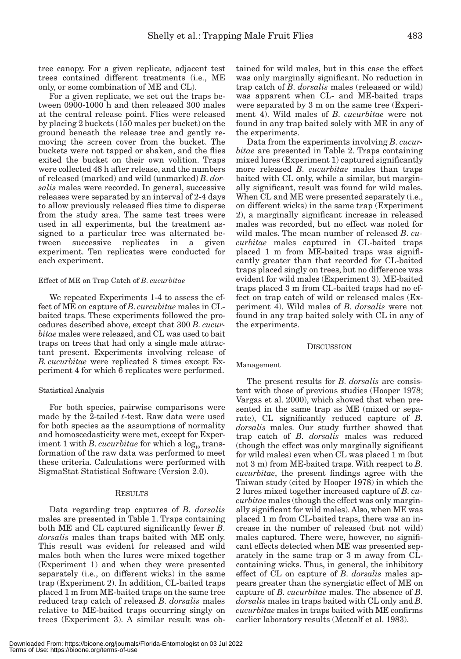tree canopy. For a given replicate, adjacent test trees contained different treatments (i.e., ME only, or some combination of ME and CL).

For a given replicate, we set out the traps between 0900-1000 h and then released 300 males at the central release point. Flies were released by placing 2 buckets (150 males per bucket) on the ground beneath the release tree and gently removing the screen cover from the bucket. The buckets were not tapped or shaken, and the flies exited the bucket on their own volition. Traps were collected 48 h after release, and the numbers of released (marked) and wild (unmarked) *B*. *dorsalis* males were recorded. In general, successive releases were separated by an interval of 2-4 days to allow previously released flies time to disperse from the study area. The same test trees were used in all experiments, but the treatment assigned to a particular tree was alternated between successive replicates in a given experiment. Ten replicates were conducted for each experiment.

#### Effect of ME on Trap Catch of *B*. *cucurbitae*

We repeated Experiments 1-4 to assess the effect of ME on capture of *B*. *curcubitae* males in CLbaited traps. These experiments followed the procedures described above, except that 300 *B*. *cucurbitae* males were released, and CL was used to bait traps on trees that had only a single male attractant present. Experiments involving release of *B. cucurbitae* were replicated 8 times except Experiment 4 for which 6 replicates were performed.

#### Statistical Analysis

For both species, pairwise comparisons were made by the 2-tailed *t*-test. Raw data were used for both species as the assumptions of normality and homoscedasticity were met, except for Experiment 1 with *B*. *cucurbitae* for which a  $\log_{10}$  transformation of the raw data was performed to meet these criteria. Calculations were performed with SigmaStat Statistical Software (Version 2.0).

#### RESULTS

Data regarding trap captures of *B*. *dorsalis* males are presented in Table 1. Traps containing both ME and CL captured significantly fewer *B*. *dorsalis* males than traps baited with ME only. This result was evident for released and wild males both when the lures were mixed together (Experiment 1) and when they were presented separately (i.e., on different wicks) in the same trap (Experiment 2). In addition, CL-baited traps placed 1 m from ME-baited traps on the same tree reduced trap catch of released *B*. *dorsalis* males relative to ME-baited traps occurring singly on trees (Experiment 3). A similar result was obtained for wild males, but in this case the effect was only marginally significant. No reduction in trap catch of *B*. *dorsalis* males (released or wild) was apparent when CL- and ME-baited traps were separated by 3 m on the same tree (Experiment 4). Wild males of *B*. *cucurbitae* were not found in any trap baited solely with ME in any of the experiments.

Data from the experiments involving *B*. *cucurbitae* are presented in Table 2. Traps containing mixed lures (Experiment 1) captured significantly more released *B*. *cucurbitae* males than traps baited with CL only, while a similar, but marginally significant, result was found for wild males. When CL and ME were presented separately (i.e., on different wicks) in the same trap (Experiment 2), a marginally significant increase in released males was recorded, but no effect was noted for wild males. The mean number of released *B*. *cucurbitae* males captured in CL-baited traps placed 1 m from ME-baited traps was significantly greater than that recorded for CL-baited traps placed singly on trees, but no difference was evident for wild males (Experiment 3). ME-baited traps placed 3 m from CL-baited traps had no effect on trap catch of wild or released males (Experiment 4). Wild males of *B*. *dorsalis* were not found in any trap baited solely with CL in any of the experiments.

#### **DISCUSSION**

#### Management

The present results for *B*. *dorsalis* are consistent with those of previous studies (Hooper 1978; Vargas et al. 2000), which showed that when presented in the same trap as ME (mixed or separate), CL significantly reduced capture of *B*. *dorsalis* males. Our study further showed that trap catch of *B*. *dorsalis* males was reduced (though the effect was only marginally significant for wild males) even when CL was placed 1 m (but not 3 m) from ME-baited traps. With respect to *B*. *cucurbitae*, the present findings agree with the Taiwan study (cited by Hooper 1978) in which the 2 lures mixed together increased capture of *B*. *cucurbitae* males (though the effect was only marginally significant for wild males). Also, when ME was placed 1 m from CL-baited traps, there was an increase in the number of released (but not wild) males captured. There were, however, no significant effects detected when ME was presented separately in the same trap or 3 m away from CLcontaining wicks. Thus, in general, the inhibitory effect of CL on capture of *B*. *dorsalis* males appears greater than the synergistic effect of ME on capture of *B*. *cucurbitae* males. The absence of *B*. *dorsalis* males in traps baited with CL only and *B*. *cucurbitae* males in traps baited with ME confirms earlier laboratory results (Metcalf et al. 1983).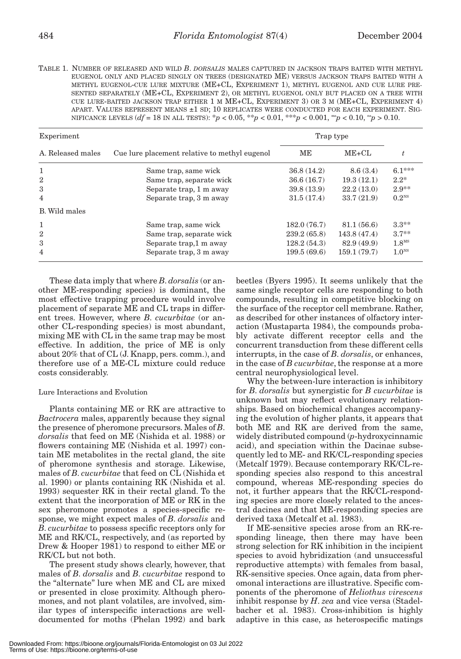TABLE 1. NUMBER OF RELEASED AND WILD *B*. *DORSALIS* MALES CAPTURED IN JACKSON TRAPS BAITED WITH METHYL EUGENOL ONLY AND PLACED SINGLY ON TREES (DESIGNATED ME) VERSUS JACKSON TRAPS BAITED WITH A METHYL EUGENOL-CUE LURE MIXTURE (ME+CL, EXPERIMENT 1), METHYL EUGENOL AND CUE LURE PRE-SENTED SEPARATELY (ME+CL, EXPERIMENT 2), OR METHYL EUGENOL ONLY BUT PLACED ON A TREE WITH CUE LURE-BAITED JACKSON TRAP EITHER 1 M ME+CL, EXPERIMENT 3) OR 3 M (ME+CL, EXPERIMENT 4) APART. VALUES REPRESENT MEANS ±1 SD; 10 REPLICATES WERE CONDUCTED FOR EACH EXPERIMENT. SIG-NIFICANCE LEVELS (*df* = 18 IN ALL TESTS): \**p* < 0.05, \*\**p* < 0.01, \*\*\**p* < 0.001, ms*p* < 0.10, ns*p* > 0.10.

| Experiment        |                                               | Trap type   |             |                   |  |
|-------------------|-----------------------------------------------|-------------|-------------|-------------------|--|
| A. Released males | Cue lure placement relative to methyl eugenol | ME          | $ME+CL$     |                   |  |
| 1                 | Same trap, same wick                          | 36.8(14.2)  | 8.6(3.4)    | $6.1***$          |  |
| $\overline{2}$    | Same trap, separate wick                      | 36.6(16.7)  | 19.3(12.1)  | $2.2*$            |  |
| 3                 | Separate trap, 1 m away                       | 39.8(13.9)  | 22.2(13.0)  | $2.9**$           |  |
| 4                 | Separate trap, 3 m away                       | 31.5(17.4)  | 33.7(21.9)  | $0.2^{NS}$        |  |
| B. Wild males     |                                               |             |             |                   |  |
| 1                 | Same trap, same wick                          | 182.0(76.7) | 81.1(56.6)  | $3.3**$           |  |
| $\overline{2}$    | Same trap, separate wick                      | 239.2(65.8) | 143.8(47.4) | $3.7**$           |  |
| 3                 | Separate trap, 1 m away                       | 128.2(54.3) | 82.9 (49.9) | 1.8 <sup>MS</sup> |  |
| 4                 | Separate trap, 3 m away                       | 199.5(69.6) | 159.1(79.7) | 1.0 <sup>NS</sup> |  |

These data imply that where *B*. *dorsalis* (or another ME-responding species) is dominant, the most effective trapping procedure would involve placement of separate ME and CL traps in different trees. However, where *B*. *cucurbitae* (or another CL-responding species) is most abundant, mixing ME with CL in the same trap may be most effective. In addition, the price of ME is only about 20% that of CL (J. Knapp, pers. comm.), and therefore use of a ME-CL mixture could reduce costs considerably.

#### Lure Interactions and Evolution

Plants containing ME or RK are attractive to *Bactrocera* males, apparently because they signal the presence of pheromone precursors. Males of *B*. *dorsalis* that feed on ME (Nishida et al. 1988) or flowers containing ME (Nishida et al. 1997) contain ME metabolites in the rectal gland, the site of pheromone synthesis and storage. Likewise, males of *B*. *cucurbitae* that feed on CL (Nishida et al. 1990) or plants containing RK (Nishida et al. 1993) sequester RK in their rectal gland. To the extent that the incorporation of ME or RK in the sex pheromone promotes a species-specific response, we might expect males of *B*. *dorsalis* and *B*. *cucurbitae* to possess specific receptors only for ME and RK/CL, respectively, and (as reported by Drew & Hooper 1981) to respond to either ME or RK/CL but not both.

The present study shows clearly, however, that males of *B*. *dorsalis* and *B*. *cucurbitae* respond to the "alternate" lure when ME and CL are mixed or presented in close proximity. Although pheromones, and not plant volatiles, are involved, similar types of interspecific interactions are welldocumented for moths (Phelan 1992) and bark

beetles (Byers 1995). It seems unlikely that the same single receptor cells are responding to both compounds, resulting in competitive blocking on the surface of the receptor cell membrane. Rather, as described for other instances of olfactory interaction (Mustaparta 1984), the compounds probably activate different receptor cells and the concurrent transduction from these different cells interrupts, in the case of *B*. *dorsalis*, or enhances, in the case of *B cucurbitae*, the response at a more central neurophysiological level.

Why the between-lure interaction is inhibitory for *B*. *dorsalis* but synergistic for *B cucurbitae* is unknown but may reflect evolutionary relationships. Based on biochemical changes accompanying the evolution of higher plants, it appears that both ME and RK are derived from the same, widely distributed compound (*p*-hydroxycinnamic acid), and speciation within the Dacinae subsequently led to ME- and RK/CL-responding species (Metcalf 1979). Because contemporary RK/CL-responding species also respond to this ancestral compound, whereas ME-responding species do not, it further appears that the RK/CL-responding species are more closely related to the ancestral dacines and that ME-responding species are derived taxa (Metcalf et al. 1983).

If ME-sensitive species arose from an RK-responding lineage, then there may have been strong selection for RK inhibition in the incipient species to avoid hybridization (and unsuccessful reproductive attempts) with females from basal, RK-sensitive species. Once again, data from pheromonal interactions are illustrative. Specific components of the pheromone of *Heliothus virescens* inhibit response by *H*. *zea* and vice versa (Stadelbacher et al. 1983). Cross-inhibition is highly adaptive in this case, as heterospecific matings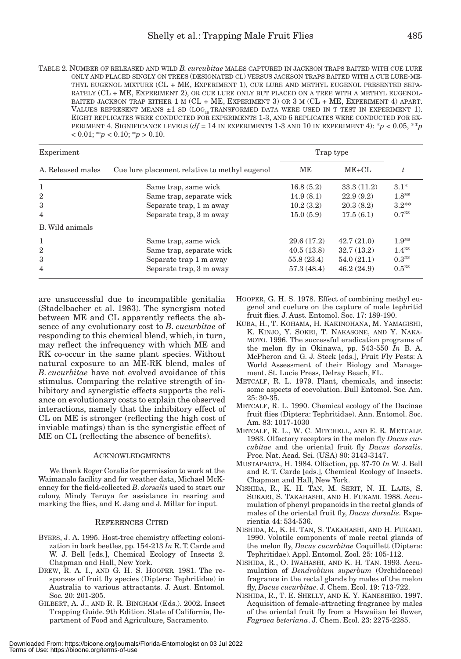| TABLE 2. NUMBER OF RELEASED AND WILD <i>B. curcubitae</i> MALES CAPTURED IN JACKSON TRAPS BAITED WITH CUE LURE |
|----------------------------------------------------------------------------------------------------------------|
| ONLY AND PLACED SINGLY ON TREES (DESIGNATED CL) VERSUS JACKSON TRAPS BAITED WITH A CUE LURE-ME-                |
| THYL EUGENOL MIXTURE (CL + ME, EXPERIMENT 1), CUE LURE AND METHYL EUGENOL PRESENTED SEPA-                      |
| RATELY (CL + ME, EXPERIMENT 2), OR CUE LURE ONLY BUT PLACED ON A TREE WITH A METHYL EUGENOL-                   |
| BAITED JACKSON TRAP EITHER 1 M (CL + ME, EXPERIMENT 3) OR 3 M (CL + ME, EXPERIMENT 4) APART.                   |
| VALUES REPRESENT MEANS $\pm 1$ SD (LOG <sub>10</sub> TRANSFORMED DATA WERE USED IN T TEST IN EXPERIMENT 1).    |
| EIGHT REPLICATES WERE CONDUCTED FOR EXPERIMENTS 1-3, AND 6 REPLICATES WERE CONDUCTED FOR EX-                   |
| PERIMENT 4. SIGNIFICANCE LEVELS $(df = 14$ IN EXPERIMENTS 1-3 AND 10 IN EXPERIMENT 4): $p < 0.05$ , $* p$      |
| $< 0.01$ ; ms <sub>p</sub> $< 0.10$ ; ns <sub>p</sub> $> 0.10$ .                                               |

| Experiment        |                                               | Trap type  |            |                   |
|-------------------|-----------------------------------------------|------------|------------|-------------------|
| A. Released males | Cue lure placement relative to methyl eugenol | MЕ         | $ME+CL$    |                   |
| 1                 | Same trap, same wick                          | 16.8(5.2)  | 33.3(11.2) | $3.1*$            |
| $\overline{2}$    | Same trap, separate wick                      | 14.9(8.1)  | 22.9(9.2)  | 1.8 <sup>MS</sup> |
| 3                 | Separate trap, 1 m away                       | 10.2(3.2)  | 20.3(8.2)  | $3.2**$           |
| 4                 | Separate trap, 3 m away                       | 15.0(5.9)  | 17.5(6.1)  | 0.7 <sup>NS</sup> |
| B. Wild animals   |                                               |            |            |                   |
| 1                 | Same trap, same wick                          | 29.6(17.2) | 42.7(21.0) | 1.9 <sup>MS</sup> |
| $\overline{2}$    | Same trap, separate wick                      | 40.5(13.8) | 32.7(13.2) | 1.4 <sup>NS</sup> |
| 3                 | Separate trap 1 m away                        | 55.8(23.4) | 54.0(21.1) | 0.3 <sup>NS</sup> |
| 4                 | Separate trap, 3 m away                       | 57.3(48.4) | 46.2(24.9) | 0.5 <sup>NS</sup> |

are unsuccessful due to incompatible genitalia (Stadelbacher et al. 1983). The synergism noted between ME and CL apparently reflects the absence of any evolutionary cost to *B*. *cucurbitae* of responding to this chemical blend, which, in turn, may reflect the infrequency with which ME and RK co-occur in the same plant species. Without natural exposure to an ME-RK blend, males of *B*. *cucurbitae* have not evolved avoidance of this stimulus. Comparing the relative strength of inhibitory and synergistic effects supports the reliance on evolutionary costs to explain the observed interactions, namely that the inhibitory effect of CL on ME is stronger (reflecting the high cost of inviable matings) than is the synergistic effect of ME on CL (reflecting the absence of benefits).

#### ACKNOWLEDGMENTS

We thank Roger Coralis for permission to work at the Waimanalo facility and for weather data, Michael McKenney for the field-collected *B*. *dorsalis* used to start our colony, Mindy Teruya for assistance in rearing and marking the flies, and E. Jang and J. Millar for input.

# REFERENCES CITED

- BYERS, J. A. 1995. Host-tree chemistry affecting colonization in bark beetles, pp. 154-213 *In* R. T. Carde and W. J. Bell [eds.], Chemical Ecology of Insects 2. Chapman and Hall, New York.
- DREW, R. A. I., AND G. H. S. HOOPER. 1981. The responses of fruit fly species (Diptera: Tephritidae) in Australia to various attractants. J. Aust. Entomol. Soc. 20: 201-205.
- GILBERT, A. J., AND R. R. BINGHAM (Eds.). 2002**.** Insect Trapping Guide. 9th Edition. State of California, Department of Food and Agriculture, Sacramento.
- HOOPER, G. H. S. 1978. Effect of combining methyl eugenol and cuelure on the capture of male tephritid fruit flies. J. Aust. Entomol. Soc. 17: 189-190.
- KUBA, H., T. KOHAMA, H. KAKINOHANA, M. YAMAGISHI, K. KINJO, Y. SOKEI, T. NAKASONE, AND Y. NAKA-MOTO. 1996. The successful eradication programs of the melon fly in Okinawa, pp. 543-550 *In* B. A. McPheron and G. J. Steck [eds.], Fruit Fly Pests: A World Assessment of their Biology and Management. St. Lucie Press, Delray Beach, FL.
- METCALF, R. L. 1979. Plant, chemicals, and insects: some aspects of coevolution. Bull Entomol. Soc. Am. 25: 30-35.
- METCALF, R. L. 1990. Chemical ecology of the Dacinae fruit flies (Diptera: Tephritidae). Ann. Entomol. Soc. Am. 83: 1017-1030
- METCALF, R. L., W. C. MITCHELL, AND E. R. METCALF. 1983. Olfactory receptors in the melon fly *Dacus curcubitae* and the oriental fruit fly *Dacus dorsalis*. Proc. Nat. Acad. Sci. (USA) 80: 3143-3147.
- MUSTAPARTA, H. 1984. Olfaction, pp. 37-70 *In* W. J. Bell and R. T. Carde [eds.], Chemical Ecology of Insects. Chapman and Hall, New York.
- NISHIDA, R., K. H. TAN, M. SERIT, N. H. LAJIS, S. SUKARI, S. TAKAHASHI, AND H. FUKAMI. 1988. Accumulation of phenyl propanoids in the rectal glands of males of the oriental fruit fly, *Dacus dorsalis*. Experientia 44: 534-536.
- NISHIDA, R., K. H. TAN, S. TAKAHASHI, AND H. FUKAMI. 1990. Volatile components of male rectal glands of the melon fly, *Dacus cucurbitae* Coquillett (Diptera: Tephritidae). Appl. Entomol. Zool. 25: 105-112.
- NISHIDA, R., O. IWAHASHI, AND K. H. TAN. 1993. Accumulation of *Dendrobium superbum* (Orchidaceae) fragrance in the rectal glands by males of the melon fly, *Dacus cucurbitae*. J. Chem. Ecol. 19: 713-722.
- NISHIDA, R., T. E. SHELLY, AND K. Y. KANESHIRO. 1997. Acquisition of female-attracting fragrance by males of the oriental fruit fly from a Hawaiian lei flower, *Fagraea beteriana*. J. Chem. Ecol. 23: 2275-2285.